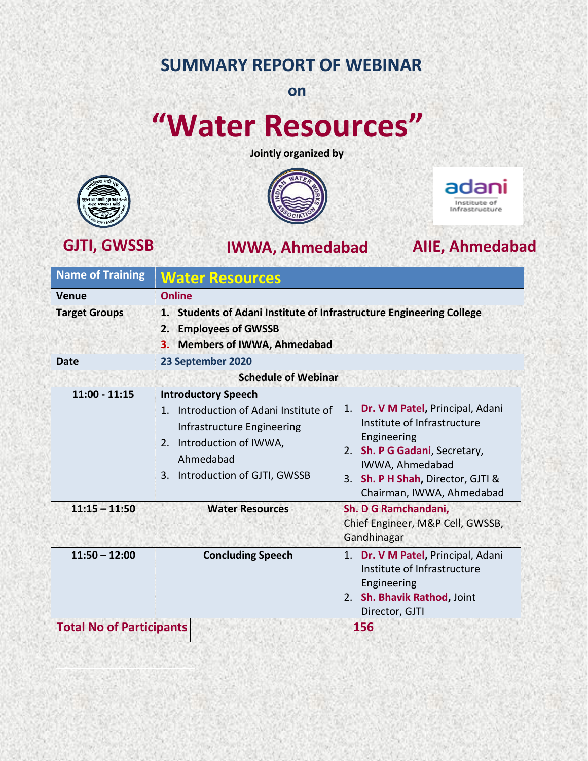## **SUMMARY REPORT OF WEBINAR**

**on**

# **"Water Resources"**

**Jointly organized by**





### **GJTI, GWSSB IWWA, Ahmedabad AIIE, Ahmedabad**



| <b>Name of Training</b> | <b>Water Resources</b><br><b>Online</b><br>1. Students of Adani Institute of Infrastructure Engineering College<br><b>Employees of GWSSB</b><br>2.<br><b>Members of IWWA, Ahmedabad</b><br>3. |                                                                                                                                                                                                        |
|-------------------------|-----------------------------------------------------------------------------------------------------------------------------------------------------------------------------------------------|--------------------------------------------------------------------------------------------------------------------------------------------------------------------------------------------------------|
| Venue                   |                                                                                                                                                                                               |                                                                                                                                                                                                        |
| <b>Target Groups</b>    |                                                                                                                                                                                               |                                                                                                                                                                                                        |
| <b>Date</b>             | 23 September 2020                                                                                                                                                                             |                                                                                                                                                                                                        |
|                         | <b>Schedule of Webinar</b>                                                                                                                                                                    |                                                                                                                                                                                                        |
| $11:00 - 11:15$         | <b>Introductory Speech</b><br>Introduction of Adani Institute of<br>$1_{\ldots}$<br>Infrastructure Engineering<br>2. Introduction of IWWA,<br>Ahmedabad<br>3. Introduction of GJTI, GWSSB     | 1. Dr. V M Patel, Principal, Adani<br>Institute of Infrastructure<br>Engineering<br>2. Sh. P G Gadani, Secretary,<br>IWWA, Ahmedabad<br>3. Sh. P H Shah, Director, GJTI &<br>Chairman, IWWA, Ahmedabad |
| $11:15 - 11:50$         | <b>Water Resources</b>                                                                                                                                                                        | Sh. D G Ramchandani,<br>Chief Engineer, M&P Cell, GWSSB,<br>Gandhinagar                                                                                                                                |
| $11:50 - 12:00$         | <b>Concluding Speech</b>                                                                                                                                                                      | 1. Dr. V M Patel, Principal, Adani<br>Institute of Infrastructure<br>Engineering<br>2. Sh. Bhavik Rathod, Joint<br>Director, GJTI                                                                      |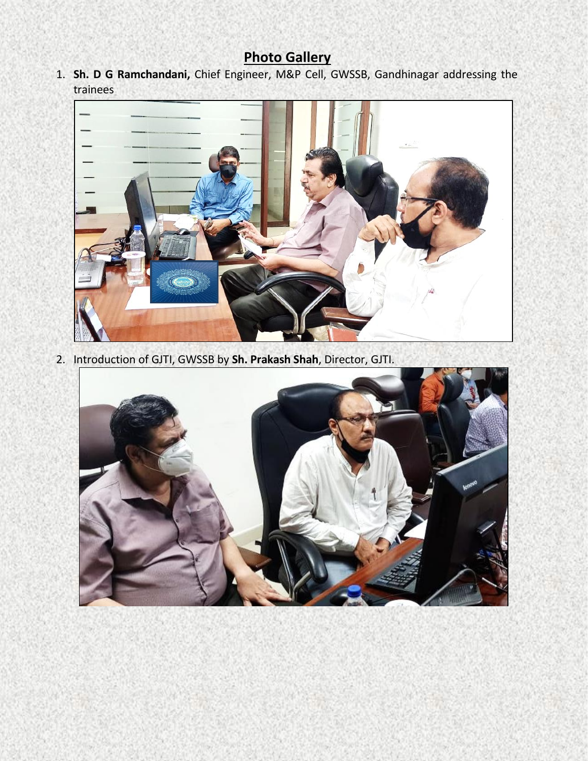### **Photo Gallery**

1. **Sh. D G Ramchandani,** Chief Engineer, M&P Cell, GWSSB, Gandhinagar addressing the trainees



2. Introduction of GJTI, GWSSB by **Sh. Prakash Shah**, Director, GJTI.